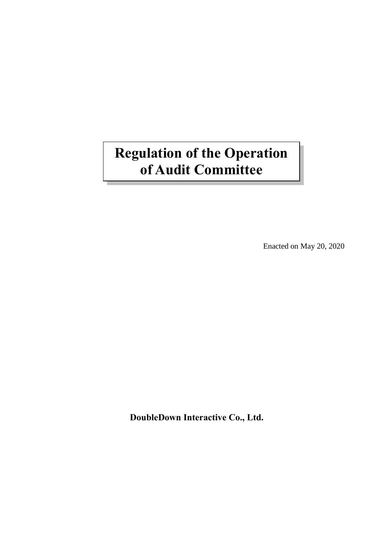# **Regulation of the Operation of Audit Committee**

Enacted on May 20, 2020

**DoubleDown Interactive Co., Ltd.**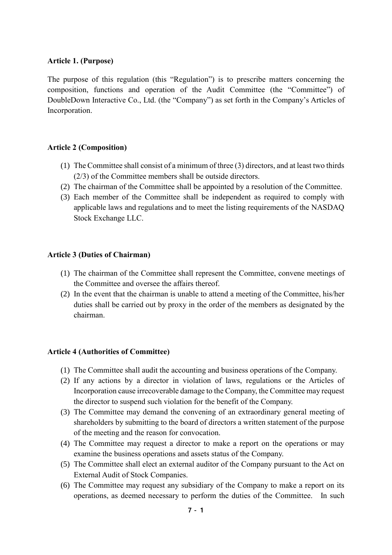#### **Article 1. (Purpose)**

The purpose of this regulation (this "Regulation") is to prescribe matters concerning the composition, functions and operation of the Audit Committee (the "Committee") of DoubleDown Interactive Co., Ltd. (the "Company") as set forth in the Company's Articles of Incorporation.

#### **Article 2 (Composition)**

- (1) The Committee shall consist of a minimum of three (3) directors, and at least two thirds (2/3) of the Committee members shall be outside directors.
- (2) The chairman of the Committee shall be appointed by a resolution of the Committee.
- (3) Each member of the Committee shall be independent as required to comply with applicable laws and regulations and to meet the listing requirements of the NASDAQ Stock Exchange LLC.

#### **Article 3 (Duties of Chairman)**

- (1) The chairman of the Committee shall represent the Committee, convene meetings of the Committee and oversee the affairs thereof.
- (2) In the event that the chairman is unable to attend a meeting of the Committee, his/her duties shall be carried out by proxy in the order of the members as designated by the chairman.

#### **Article 4 (Authorities of Committee)**

- (1) The Committee shall audit the accounting and business operations of the Company.
- (2) If any actions by a director in violation of laws, regulations or the Articles of Incorporation cause irrecoverable damage to the Company, the Committee may request the director to suspend such violation for the benefit of the Company.
- (3) The Committee may demand the convening of an extraordinary general meeting of shareholders by submitting to the board of directors a written statement of the purpose of the meeting and the reason for convocation.
- (4) The Committee may request a director to make a report on the operations or may examine the business operations and assets status of the Company.
- (5) The Committee shall elect an external auditor of the Company pursuant to the Act on External Audit of Stock Companies.
- (6) The Committee may request any subsidiary of the Company to make a report on its operations, as deemed necessary to perform the duties of the Committee. In such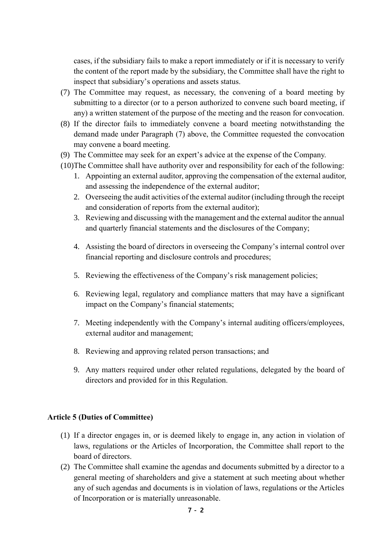cases, if the subsidiary fails to make a report immediately or if it is necessary to verify the content of the report made by the subsidiary, the Committee shall have the right to inspect that subsidiary's operations and assets status.

- (7) The Committee may request, as necessary, the convening of a board meeting by submitting to a director (or to a person authorized to convene such board meeting, if any) a written statement of the purpose of the meeting and the reason for convocation.
- (8) If the director fails to immediately convene a board meeting notwithstanding the demand made under Paragraph (7) above, the Committee requested the convocation may convene a board meeting.
- (9) The Committee may seek for an expert's advice at the expense of the Company.
- (10)The Committee shall have authority over and responsibility for each of the following:
	- 1. Appointing an external auditor, approving the compensation of the external auditor, and assessing the independence of the external auditor;
	- 2. Overseeing the audit activities of the external auditor (including through the receipt and consideration of reports from the external auditor);
	- 3. Reviewing and discussing with the management and the external auditor the annual and quarterly financial statements and the disclosures of the Company;
	- 4. Assisting the board of directors in overseeing the Company's internal control over financial reporting and disclosure controls and procedures;
	- 5. Reviewing the effectiveness of the Company's risk management policies;
	- 6. Reviewing legal, regulatory and compliance matters that may have a significant impact on the Company's financial statements;
	- 7. Meeting independently with the Company's internal auditing officers/employees, external auditor and management;
	- 8. Reviewing and approving related person transactions; and
	- 9. Any matters required under other related regulations, delegated by the board of directors and provided for in this Regulation.

# **Article 5 (Duties of Committee)**

- (1) If a director engages in, or is deemed likely to engage in, any action in violation of laws, regulations or the Articles of Incorporation, the Committee shall report to the board of directors.
- (2) The Committee shall examine the agendas and documents submitted by a director to a general meeting of shareholders and give a statement at such meeting about whether any of such agendas and documents is in violation of laws, regulations or the Articles of Incorporation or is materially unreasonable.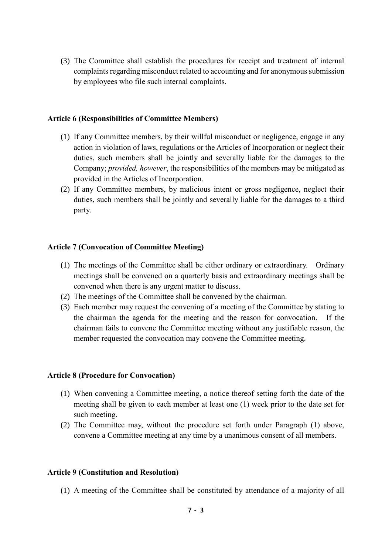(3) The Committee shall establish the procedures for receipt and treatment of internal complaints regarding misconduct related to accounting and for anonymous submission by employees who file such internal complaints.

#### **Article 6 (Responsibilities of Committee Members)**

- (1) If any Committee members, by their willful misconduct or negligence, engage in any action in violation of laws, regulations or the Articles of Incorporation or neglect their duties, such members shall be jointly and severally liable for the damages to the Company; *provided, however*, the responsibilities of the members may be mitigated as provided in the Articles of Incorporation.
- (2) If any Committee members, by malicious intent or gross negligence, neglect their duties, such members shall be jointly and severally liable for the damages to a third party.

#### **Article 7 (Convocation of Committee Meeting)**

- (1) The meetings of the Committee shall be either ordinary or extraordinary. Ordinary meetings shall be convened on a quarterly basis and extraordinary meetings shall be convened when there is any urgent matter to discuss.
- (2) The meetings of the Committee shall be convened by the chairman.
- (3) Each member may request the convening of a meeting of the Committee by stating to the chairman the agenda for the meeting and the reason for convocation. If the chairman fails to convene the Committee meeting without any justifiable reason, the member requested the convocation may convene the Committee meeting.

#### **Article 8 (Procedure for Convocation)**

- (1) When convening a Committee meeting, a notice thereof setting forth the date of the meeting shall be given to each member at least one (1) week prior to the date set for such meeting.
- (2) The Committee may, without the procedure set forth under Paragraph (1) above, convene a Committee meeting at any time by a unanimous consent of all members.

#### **Article 9 (Constitution and Resolution)**

(1) A meeting of the Committee shall be constituted by attendance of a majority of all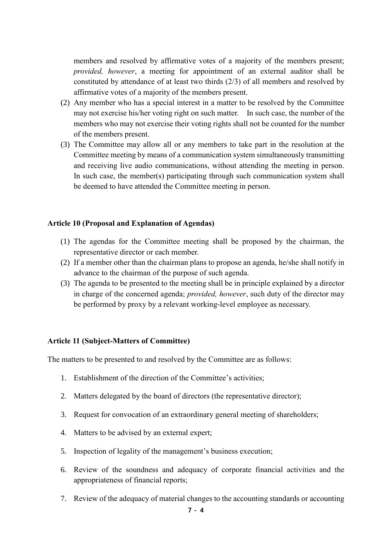members and resolved by affirmative votes of a majority of the members present; *provided, however*, a meeting for appointment of an external auditor shall be constituted by attendance of at least two thirds (2/3) of all members and resolved by affirmative votes of a majority of the members present.

- (2) Any member who has a special interest in a matter to be resolved by the Committee may not exercise his/her voting right on such matter. In such case, the number of the members who may not exercise their voting rights shall not be counted for the number of the members present.
- (3) The Committee may allow all or any members to take part in the resolution at the Committee meeting by means of a communication system simultaneously transmitting and receiving live audio communications, without attending the meeting in person. In such case, the member(s) participating through such communication system shall be deemed to have attended the Committee meeting in person.

# **Article 10 (Proposal and Explanation of Agendas)**

- (1) The agendas for the Committee meeting shall be proposed by the chairman, the representative director or each member.
- (2) If a member other than the chairman plans to propose an agenda, he/she shall notify in advance to the chairman of the purpose of such agenda.
- (3) The agenda to be presented to the meeting shall be in principle explained by a director in charge of the concerned agenda; *provided, however*, such duty of the director may be performed by proxy by a relevant working-level employee as necessary.

#### **Article 11 (Subject-Matters of Committee)**

The matters to be presented to and resolved by the Committee are as follows:

- 1. Establishment of the direction of the Committee's activities;
- 2. Matters delegated by the board of directors (the representative director);
- 3. Request for convocation of an extraordinary general meeting of shareholders;
- 4. Matters to be advised by an external expert;
- 5. Inspection of legality of the management's business execution;
- 6. Review of the soundness and adequacy of corporate financial activities and the appropriateness of financial reports;
- 7. Review of the adequacy of material changes to the accounting standards or accounting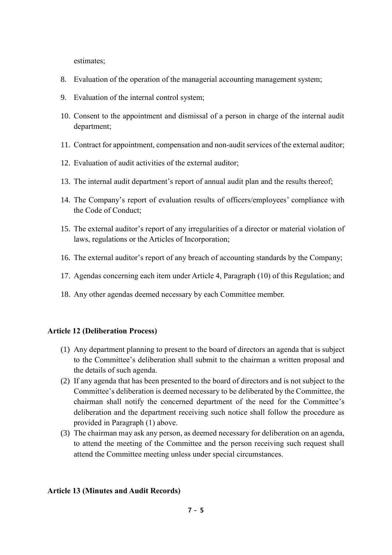estimates;

- 8. Evaluation of the operation of the managerial accounting management system;
- 9. Evaluation of the internal control system;
- 10. Consent to the appointment and dismissal of a person in charge of the internal audit department;
- 11. Contract for appointment, compensation and non-audit services of the external auditor;
- 12. Evaluation of audit activities of the external auditor;
- 13. The internal audit department's report of annual audit plan and the results thereof;
- 14. The Company's report of evaluation results of officers/employees' compliance with the Code of Conduct;
- 15. The external auditor's report of any irregularities of a director or material violation of laws, regulations or the Articles of Incorporation;
- 16. The external auditor's report of any breach of accounting standards by the Company;
- 17. Agendas concerning each item under Article 4, Paragraph (10) of this Regulation; and
- 18. Any other agendas deemed necessary by each Committee member.

# **Article 12 (Deliberation Process)**

- (1) Any department planning to present to the board of directors an agenda that is subject to the Committee's deliberation shall submit to the chairman a written proposal and the details of such agenda.
- (2) If any agenda that has been presented to the board of directors and is not subject to the Committee's deliberation is deemed necessary to be deliberated by the Committee, the chairman shall notify the concerned department of the need for the Committee's deliberation and the department receiving such notice shall follow the procedure as provided in Paragraph (1) above.
- (3) The chairman may ask any person, as deemed necessary for deliberation on an agenda, to attend the meeting of the Committee and the person receiving such request shall attend the Committee meeting unless under special circumstances.

# **Article 13 (Minutes and Audit Records)**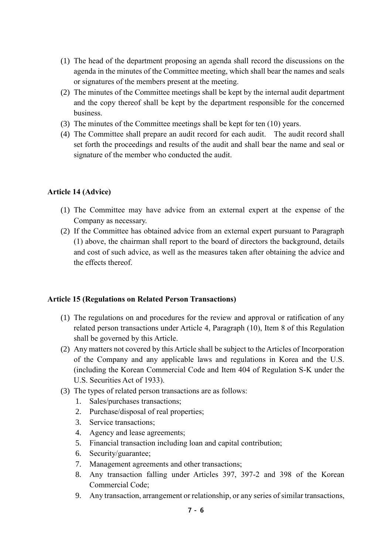- (1) The head of the department proposing an agenda shall record the discussions on the agenda in the minutes of the Committee meeting, which shall bear the names and seals or signatures of the members present at the meeting.
- (2) The minutes of the Committee meetings shall be kept by the internal audit department and the copy thereof shall be kept by the department responsible for the concerned business.
- (3) The minutes of the Committee meetings shall be kept for ten (10) years.
- (4) The Committee shall prepare an audit record for each audit. The audit record shall set forth the proceedings and results of the audit and shall bear the name and seal or signature of the member who conducted the audit.

# **Article 14 (Advice)**

- (1) The Committee may have advice from an external expert at the expense of the Company as necessary.
- (2) If the Committee has obtained advice from an external expert pursuant to Paragraph (1) above, the chairman shall report to the board of directors the background, details and cost of such advice, as well as the measures taken after obtaining the advice and the effects thereof.

# **Article 15 (Regulations on Related Person Transactions)**

- (1) The regulations on and procedures for the review and approval or ratification of any related person transactions under Article 4, Paragraph (10), Item 8 of this Regulation shall be governed by this Article.
- (2) Any matters not covered by this Article shall be subject to the Articles of Incorporation of the Company and any applicable laws and regulations in Korea and the U.S. (including the Korean Commercial Code and Item 404 of Regulation S-K under the U.S. Securities Act of 1933).
- (3) The types of related person transactions are as follows:
	- 1. Sales/purchases transactions;
	- 2. Purchase/disposal of real properties;
	- 3. Service transactions;
	- 4. Agency and lease agreements;
	- 5. Financial transaction including loan and capital contribution;
	- 6. Security/guarantee;
	- 7. Management agreements and other transactions;
	- 8. Any transaction falling under Articles 397, 397-2 and 398 of the Korean Commercial Code;
	- 9. Any transaction, arrangement or relationship, or any series of similar transactions,